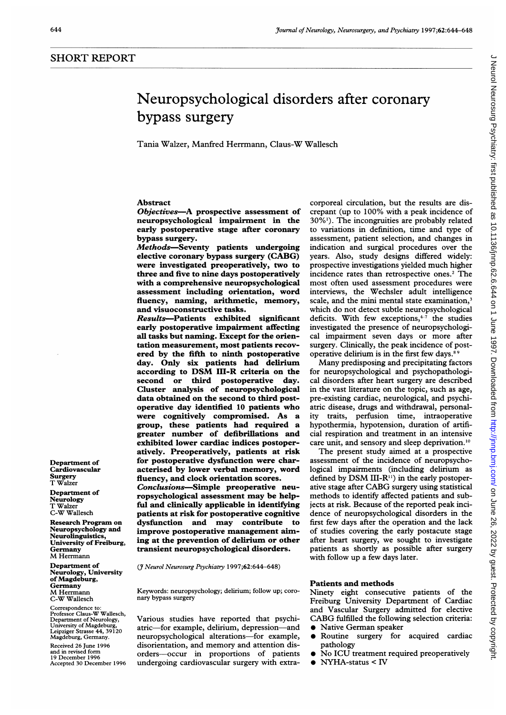# Neuropsychological disorders after coronary bypass surgery

Tania Walzer, Manfred Herrmann, Claus-W Wallesch

# Abstract

Objectives-A prospective assessment of neuropsychological impairment in the early postoperative stage after coronary bypass surgery.

Methods-Seventy patients undergoing elective coronary bypass surgery (CABG) were investigated preoperatively, two to three and five to nine days postoperatively with a comprehensive neuropsychological assessment including orientation, word fluency, naming, arithmetic, memory, and visuoconstructive tasks.

Results-Patients exhibited significant early postoperative impairment affecting all tasks but naming. Except for the orientation measurement, most patients recovered by the fifth to ninth postoperative day. Only six patients had delirium according to DSM III-R criteria on the or third postoperative day. Cluster analysis of neuropsychological data obtained on the second to third postoperative day identified 10 patients who were cognitively compromised. As a group, these patients had required a greater number of defibrillations and exhibited lower cardiac indices postoperatively. Preoperatively, patients at risk for postoperative dysfunction were characterised by lower verbal memory, word fluency, and clock orientation scores. Conclusions-Simple preoperative neuropsychological assessment may be helpful and clinically applicable in identifying patients at risk for postoperative cognitive dysfunction and may contribute to improve postoperative management aiming at the prevention of delirium or other transient neuropsychological disorders.

(7 Neurol Neurosurg Psychiatry 1997;62:644-648)

Keywords: neuropsychology; delirium; follow up; coronary bypass surgery

Various studies have reported that psychiatric-for example, delirium, depression-and neuropsychological alterations-for example, disorientation, and memory and attention disorders-occur in proportions of patients undergoing cardiovascular surgery with extracorporeal circulation, but the results are discrepant (up to 100% with a peak incidence of 30%'). The incongruities are probably related to variations in definition, time and type of assessment, patient selection, and changes in indication and surgical procedures over the years. Also, study designs differed widely: prospective investigations yielded much higher incidence rates than retrospective ones.2 The most often used assessment procedures were interviews, the Wechsler adult intelligence scale, and the mini mental state examination,<sup>3</sup> which do not detect subtle neuropsychological deficits. With few exceptions, $4\frac{7}{7}$  the studies investigated the presence of neuropsychological impairment seven days or more after surgery. Clinically, the peak incidence of postoperative delirium is in the first few days.<sup>89</sup>

Many predisposing and precipitating factors for neuropsychological and psychopathological disorders after heart surgery are described in the vast literature on the topic, such as age, pre-existing cardiac, neurological, and psychiatric disease, drugs and withdrawal, personality traits, perfusion time, intraoperative hypothermia, hypotension, duration of artificial respiration and treatment in an intensive care unit, and sensory and sleep deprivation.<sup>10</sup>

The present study aimed at <sup>a</sup> prospective assessment of the incidence of neuropsychological impairments (including delirium as defined by DSM III-R $^{11}$ ) in the early postoperative stage after CABG surgery using statistical methods to identify affected patients and subjects at risk. Because of the reported peak incidence of neuropsychological disorders in the first few days after the operation and the lack of studies covering the early postacute stage after heart surgery, we sought to investigate patients as shortly as possible after surgery with follow up a few days later.

### Patients and methods

Ninety eight consecutive patients of the Freiburg University Department of Cardiac and Vascular Surgery admitted for elective CABG fulfilled the following selection criteria: • Native German speaker

- 
- $\bullet$  Routine surgery for acquired cardiac pathology
- No ICU treatment required preoperatively
- $\bullet$  NYHA-status < IV

J Neurol Neurosurg Psychiatry: first published as 10.11136/jnnp.62.6.644 on 1 June 1997. Downloaded from http://jnnp.bmj.com/ on June 26, 2022 by guest. Protected by copyright J Neurol Neurosurg Psychiatry: first published as 10.1136/jnnp.62.6.644 on 1 June 1997. Downloaded from <http://jnnp.bmj.com/> on June 26, 2022 by guest. Protected by copyright.

Department of Cardiovascular Surgery T Walzer

Department of Neurology T Walzer C-W Wallesch

Research Program on Neuropsychology and Neurolinguistics, University of Freiburg, Germany M Herrmann

Department of Neurology, University of Magdeburg, **Germany** M Herrrnann C-W Wallesch

Correspondence to: Professor Claus-W Wallesch, Department of Neurology, University of Magdeburg, Leipziger Strasse 44, 39120 Magdeburg, Germany.

Received 26 June 1996 and in revised form 19 December 1996 Accepted 30 December 1996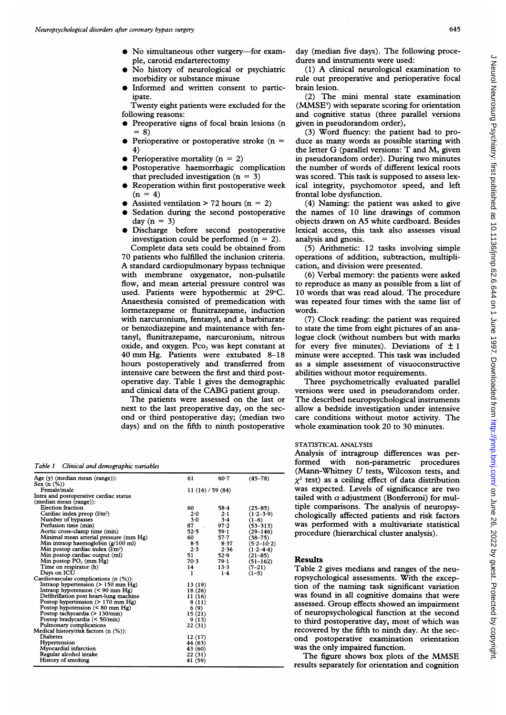- $\bullet$  No simultaneous other surgery-for example, carotid endarterectomy
- No history of neurological or psychiatric morbidity or substance misuse
- Informed and written consent to participate.

Twenty eight patients were excluded for the following reasons:

- Preoperative signs of focal brain lesions (n  $= 8)$
- Perioperative or postoperative stroke ( $n =$ 4)
- Perioperative mortality ( $n = 2$ )
- Postoperative haemorrhagic complication that precluded investigation  $(n = 3)$
- Reoperation within first postoperative week  $(n = 4)$
- Assisted ventilation  $> 72$  hours (n = 2)
- Sedation during the second postoperative day  $(n = 3)$
- Discharge before second postoperative investigation could be performed  $(n = 2)$ .

Complete data sets could be obtained from 70 patients who fulfilled the inclusion criteria. A standard cardiopulmonary bypass technique with membrane oxygenator, non-pulsatile flow, and mean arterial pressure control was used. Patients were hypothermic at 29°C. Anaesthesia consisted of premedication with lormetazepame or flunitrazepame, induction with narcuronium, fentanyl, and a barbiturate or benzodiazepine and maintenance with fentanyl, flunitrazepame, narcuronium, nitrous oxide, and oxygen. Pco<sub>2</sub> was kept constant at <sup>40</sup> mm Hg. Patients were extubated 8-18 hours postoperatively and transferred from intensive care between the first and third postoperative day. Table <sup>1</sup> gives the demographic and clinical data of the CABG patient group.

The patients were assessed on the last or next to the last preoperative day, on the second or third postoperative day; (median two days) and on the fifth to ninth postoperative

Table <sup>1</sup> Clinical and demographic variables

| Age (y) (median mean (range)):               | 61                | $60 - 7$    | $(45 - 78)$    |
|----------------------------------------------|-------------------|-------------|----------------|
| Sex $(n \ (\%)$                              |                   |             |                |
| Female/male                                  | 11 (16) / 59 (84) |             |                |
| Intra and postoperative cardiac status       |                   |             |                |
| (median mean (range)):                       |                   |             |                |
| Ejection fraction                            | 60                | $58 - 4$    | $(25 - 85)$    |
| Cardiac index preop $(l/m^2)$                | 2.0               | $2 \cdot 1$ | $(1.2 - 3.9)$  |
| Number of bypasses                           | $3-0$             | 3.4         | $(1-6)$        |
| Perfusion time (min)                         | 87                | 97.2        | $(53 - 313)$   |
| Aortic cross-clamp time (min)                | 52.5              | 59.1        | $(29-146)$     |
| Minimal mean arterial pressure (mm Hg)       | 60                | $57 - 7$    | $(38 - 75)$    |
| Min intraop haemoglobin $(g/100 \text{ ml})$ | 8.5               | 8.37        | $(5.2 - 10.2)$ |
| Min postop cardiac index $(l/m^2)$           | 2.3               | 2.36        | $(1.2 - 4.4)$  |
| Min postop cardiac output (ml)               | 51                | 52.9        | $(21 - 85)$    |
| Min postop $PO2$ (mm Hg)                     | 70.3              | 79.1        | $(51-162)$     |
| Time on respirator (h)                       | 14                | 13.3        | $(7-21)$       |
| Days on ICU                                  | 1                 | $1-4$       | $(1-5)$        |
| Cardiovascular complications (n (%)):        |                   |             |                |
| Intraop hypertension $(> 150$ mm Hg)         | 13 (19)           |             |                |
| Intraop hypotension $(< 90$ mm Hg)           | 18 (26)           |             |                |
| Defibrillation post heart-lung machine       | 11 (16)           |             |                |
| Postop hypertension $(> 170$ mm Hg)          | 8(11)             |             |                |
| Postop hypotension $(< 80$ mm Hg)            | 6(9)              |             |                |
| Postop tachycardia (> 130/min)               | 15(21)            |             |                |
| Postop bradycardia $(< 50/min)$              | 9(13)             |             |                |
| Pulmonary complications                      | 22(31)            |             |                |
| Medical history/risk factors $(n \ (\%))$ :  |                   |             |                |
| <b>Diabetes</b>                              | 12(17)            |             |                |
| Hypertension                                 | 44 (63)           |             |                |
| Myocardial infarction                        | 43 (60)           |             |                |
| Regular alcohol intake                       | 22 (31)           |             |                |
| History of smoking                           | 41 (59)           |             |                |
|                                              |                   |             |                |

day (median five days). The following procedures and instruments were used:

(1) A clinical neurological examination to rule out preoperative and perioperative focal brain lesion.

(2) The mini mental state examination (MMSE<sup>3</sup>) with separate scoring for orientation and cognitive status (three parallel versions given in pseudorandom order),

(3) Word fluency: the patient had to produce as many words as possible starting with the letter G (parallel versions: T and M, given in pseudorandom order). During two minutes the number of words of different lexical roots was scored. This task is supposed to assess lexical integrity, psychomotor speed, and left frontal lobe dysfunction.

(4) Naming: the patient was asked to give the names of 10 line drawings of common objects drawn on A5 white cardboard. Besides lexical access, this task also assesses visual analysis and gnosis.

(5) Arithmetic: 12 tasks involving simple operations of addition, subtraction, multiplication, and division were presented.

(6) Verbal memory: the patients were asked to reproduce as many as possible from a list of 10 words that was read aloud. The procedure was repeated four times with the same list of words.

(7) Clock reading: the patient was required to state the time from eight pictures of an analogue clock (without numbers but with marks for every five minutes). Deviations of  $\pm 1$ minute were accepted. This task was included as a simple assessment of visuoconstructive abilities without motor requirements.

Three psychometrically evaluated parallel versions were used in pseudorandom order. The described neuropsychological instruments allow a bedside investigation under intensive care conditions without motor activity. The whole examination took 20 to 30 minutes.

## STATISTICAL ANALYSIS

Analysis of intragroup differences was performed with non-parametric procedures (Mann-Whitney U tests, Wilcoxon tests, and  $x^2$  test) as a ceiling effect of data distribution was expected. Levels of significance are two tailed with  $\alpha$  adjustment (Bonferroni) for multiple comparisons. The analysis of neuropsychologically affected patients and risk factors was performed with a multivariate statistical procedure (hierarchical cluster analysis).

#### Results

Table 2 gives medians and ranges of the neuropsychological assessments. With the exception of the naming task significant variation was found in all cognitive domains that were assessed. Group effects showed an impairment of neuropsychological function at the second to third postoperative day, most of which was recovered by the fifth to ninth day. At the second postoperative examination orientation was the only impaired function.

The figure shows box plots of the MMSE results separately for orientation and cognition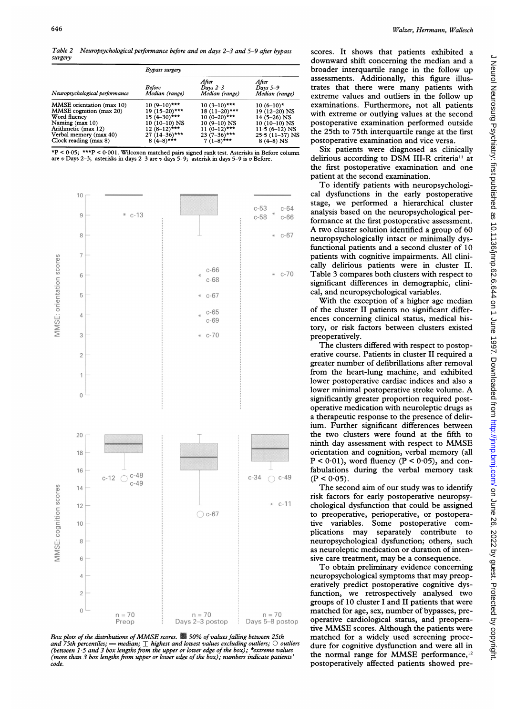Table 2 Neuropsychological performance before and on days 2-3 and 5-9 after bypass surgery

| Neuropsychological performance | Bypass surgery           |                                       |                                       |  |
|--------------------------------|--------------------------|---------------------------------------|---------------------------------------|--|
|                                | Before<br>Median (range) | After<br>Days $2-3$<br>Median (range) | After<br>Days $5-9$<br>Median (range) |  |
| MMSE orientation (max 10)      | $10(9-10)$ ***           | $10(3-10)***$                         | $10(6-10)$ *                          |  |
| <b>MMSE</b> cognition (max 20) | $19(15-20)$ ***          | $18(11-20)$ ***                       | 19 (12-20) NS                         |  |
| Word fluency                   | $15(4-30)***$            | $10(0-20)$ ***                        | $14(5-26)$ NS                         |  |
| Naming (max 10)                | 10 (10–10) NS            | $10(9-10)$ NS                         | $10(10-10)$ NS                        |  |
| Arithmetic (max 12)            | $12(8-12)***$            | $11(0-12)***$                         | $11.5(6-12)$ NS                       |  |
| Verbal memory (max 40)         | $27(14-36)$ ***          | $23(7-36)***$                         | $25.5(11-37)$ NS                      |  |
| Clock reading (max 8)          | $8(4-8)***$              | $7(1-8)***$                           | $8(4-8)$ NS                           |  |

\*P < 0 05; \*\*\*P < 0 001. Wilcoxon matched pairs signed rank test. Asterisk are <sup>v</sup> Days 2-3; asterisks in days 2-3 are v days 5-9; asterisk in days 5-9 is <sup>z</sup>





scores. It shows that patients exhibited a downward shift concerning the median and a broader interquartile range in the follow up assessments. Additionally, this figure illustrates that there were many patients with extreme values and outliers in the follow up examinations. Furthermore, not all patients with extreme or outlying values at the second postoperative examination performed outside the 25th to 75th interquartile range at the first postoperative examination and vice versa.

Six patients were diagnosed as clinically delirious according to DSM III-R criteria<sup>11</sup> at the first postoperative examination and one patient at the second examination.

To identify patients with neuropsychological dysfunctions in the early postoperative stage, we performed <sup>a</sup> hierarchical cluster analysis based on the neuropsychological performance at the first postoperative assessment. A two cluster solution identified <sup>a</sup> group of 60 neuropsychologically intact or minimally dysfunctional patients and a second cluster of 10 patients with cognitive impairments. All clinically delirious patients were in cluster II. Table 3 compares both clusters with respect to significant differences in demographic, clinical, and neuropsychological variables.

With the exception of a higher age median of the cluster II patients no significant differences concerning clinical status, medical history, or risk factors between clusters existed preoperatively.

The clusters differed with respect to postoperative course. Patients in cluster II required a greater number of defibrillations after removal from the heart-lung machine, and exhibited lower postoperative cardiac indices and also a lower minimal postoperative stroke volume. A significantly greater proportion required postoperative medication with neuroleptic drugs as a therapeutic response to the presence of delirium. Further significant differences between the two clusters were found at the fifth to ninth day assessment with respect to MMSE orientation and cognition, verbal memory (all  $P < 0.01$ ), word fluency ( $P < 0.05$ ), and confabulations during the verbal memory task  $(P < 0.05)$ .

The second aim of our study was to identify risk factors for early postoperative neuropsychological dysfunction that could be assigned to preoperative, perioperative, or postoperative variables. Some postoperative complications may separately contribute to neuropsychological dysfunction; others, such as neuroleptic medication or duration of intensive care treatment, may be <sup>a</sup> consequence.

To obtain preliminary evidence concerning neuropsychological symptoms that may preoperatively predict postoperative cognitive dysfunction, we retrospectively analysed two groups of 10 cluster <sup>I</sup> and II patients that were matched for age, sex, number of bypasses, preoperative cardiological status, and preoperative MMSE scores. Although the patients were matched for a widely used screening procedure for cognitive dysfunction and were all in the normal range for MMSE performance, $12$ postoperatively affected patients showed pre-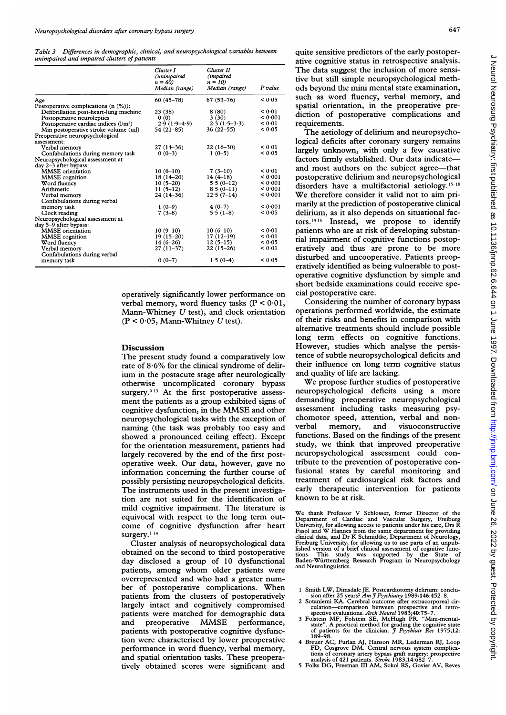Table 3 Differences in demographic, clinical, and neuropsychological variables between unimpaired and impaired clusters of patients

|                                             | Cluster I<br>(unimpaired<br>$n = 60$ | Cluster II<br><i>(impaired)</i><br>$n = 10$ |         |
|---------------------------------------------|--------------------------------------|---------------------------------------------|---------|
|                                             | Median (range)                       | Median (range)                              | P value |
| Age                                         | $60(45 - 78)$                        | $67(53 - 76)$                               | < 0.05  |
| Postoperative complications $(n \, (\%))$ : |                                      |                                             |         |
| Defibrillation post-heart-lung machine      | 23 (38)                              | 8(80)                                       | < 0.01  |
| Postoperative neuroleptics                  | 0(0)                                 | 3(30)                                       | < 0.001 |
| Postoperative cardiac indices $(l/m2)$      | $2.9(1.9-4.9)$                       | $2.3(1.5-3.3)$                              | < 0.01  |
| Min postoperative stroke volume (ml)        | $54(21-85)$                          | $36(22 - 55)$                               | < 0.05  |
| Preoperative neuropsychological             |                                      |                                             |         |
| assessment:                                 |                                      |                                             |         |
| Verbal memory                               | $27(14-36)$                          | $22(16-30)$                                 | < 0.01  |
| Confabulations during memory task           | $0(0-3)$                             | $1(0-5)$                                    | < 0.05  |
| Neuropsychological assessment at            |                                      |                                             |         |
| day 2-3 after bypass:                       |                                      |                                             |         |
| <b>MMSE</b> orientation                     | $10(6-10)$                           | $7(3-10)$                                   | < 0.01  |
| MMSE cognition                              | $18(14-20)$                          | $14(4-18)$                                  | < 0.001 |
| Word fluency                                | $10(5-20)$                           | $5.5(0-12)$                                 | < 0.001 |
| Arithmetic                                  | $11(5-12)$                           | $8.5(0-11)$                                 | < 0.001 |
| Verbal memory                               | $24(14-36)$                          | $12.5(7-14)$                                | < 0.001 |
| Confabulations during verbal                |                                      |                                             |         |
| memory task                                 | $1(0-9)$                             | $4(0-7)$                                    | < 0.001 |
| Clock reading                               | $7(3-8)$                             | $5.5(1-8)$                                  | < 0.05  |
| Neuropsychological assessment at            |                                      |                                             |         |
| day 5-9 after bypass:                       |                                      |                                             |         |
| <b>MMSE</b> orientation                     | $10(9-10)$                           | $10(6-10)$                                  | < 0.01  |
| <b>MMSE</b> cognition                       | $19(15-20)$                          | $17(12-19)$                                 | < 0.01  |
| Word fluency                                | $14(6-26)$                           | $12(5-15)$                                  | < 0.05  |
| Verbal memory                               | $27(11-37)$                          | $22(15-26)$                                 | < 0.01  |
| Confabulations during verbal                |                                      |                                             |         |
| memory task                                 | $0(0-7)$                             | $1.5(0-4)$                                  | < 0.05  |

operatively significantly lower performance on verbal memory, word fluency tasks (P < 0-01, Mann-Whitney  $U$  test), and clock orientation  $(P < 0.05$ , Mann-Whitney U test).

#### Discussion

The present study found a comparatively low rate of 8-6% for the clinical syndrome of delirium in the postacute stage after neurologically otherwise uncomplicated coronary bypass surgery.<sup>913</sup> At the first postoperative assessment the patients as a group exhibited signs of cognitive dysfunction, in the MMSE and other neuropsychological tasks with the exception of naming (the task was probably too easy and showed a pronounced ceiling effect). Except for the orientation measurement, patients had largely recovered by the end of the first postoperative week. Our data, however, gave no information concerning the further course of possibly persisting neuropsychological deficits. The instruments used in the present investigation are not suited for the identification of mild cognitive impairment. The literature is equivocal with respect to the long term outcome of cognitive dysfunction after heart surgery.<sup>114</sup>

Cluster analysis of neuropsychological data obtained on the second to third postoperative day disclosed a group of 10 dysfunctional patients, among whom older patients were overrepresented and who had a greater number of postoperative complications. When patients from the clusters of postoperatively largely intact and cognitively compromised patients were matched for demographic data<br>and preoperative MMSE performance, and preoperative MMSE performance, patients with postoperative cognitive dysfunction were characterised by lower preoperative performance in word fluency, verbal memory, and spatial orientation tasks. These preoperatively obtained scores were significant and

quite sensitive predictors of the early postoperative cognitive status in retrospective analysis. The data suggest the inclusion of more sensitive but still simple neuropsychological methods beyond the mini mental state examination, such as word fluency, verbal memory, and spatial orientation, in the preoperative prediction of postoperative complications and requirements.

The aetiology of delirium and neuropsychological deficits after coronary surgery remains largely unknown, with only a few causative factors firmly established. Our data indicateand most authors on the subject agree-that postoperative delirium and neuropsychological disorders have a multifactorial aetiology.<sup>15-18</sup> We therefore consider it valid not to aim primarily at the prediction of postoperative clinical delirium, as it also depends on situational factors.14 <sup>16</sup> Instead, we propose to identify patients who are at risk of developing substantial impairment of cognitive functions postoperatively and thus are prone to be more disturbed and uncooperative. Patients preoperatively identified as being vulnerable to postoperative cognitive dysfunction by simple and short bedside examinations could receive special postoperative care.

Considering the number of coronary bypass operations performed worldwide, the estimate of their risks and benefits in comparison with alternative treatments should include possible long term effects on cognitive functions. However, studies which analyse the persistence of subtle neuropsychological deficits and their influence on long term cognitive status and quality of life are lacking.

We propose further studies of postoperative neuropsychological deficits using a more demanding preoperative neuropsychological assessment including tasks measuring psychomotor speed, attention, verbal and nonverbal memory, and visuoconstructive functions. Based on the findings of the present study, we think that improved preoperative neuropsychological assessment could contribute to the prevention of postoperative confusional states by careful monitoring and treatment of cardiosurgical risk factors and early therapeutic intervention for patients known to be at risk.

We thank Professor V Schlosser, former Director of the Department of Cardiac and Vascular Surgery, Freburg University, for allowing access to patients under his care, Drs R Fasol and W Hannes from the same department for p tions. This study was supported by the State of Baden-Wurttemberg Research Program in Neuropsychology and Neurolinguistics.

- <sup>1</sup> Smith LW, Dimsdale JE. Postcardiotomy delirium: conclusion after 25 years? Am J Psychiatry 1989;146:452-8.<br>Sotaniemi KA. Cerebral outcome after extracorporeal cir-
- 
- 2 Sotaniemi KA. Cerebral outcome after extracorporeal circulation—comparison between prospective and retro-<br>spective evaluations. Arch Neurol 1983;40:75-7.<br>3 Folstein MF, Folstein SE, McHugh PR. "Mini-mental-<br>state". A pr
- 4 Breuer AC, Furlan AJ, Hanson MR, Lederman RJ, Loop<br>FD, Cosgrove DM. Central nervous system complica-<br>tions of coronary artery bypass graft surgery: prospective<br>analysis of 421 patients. Stroke 1983;14:682-7.<br>5 Folks DG,
-